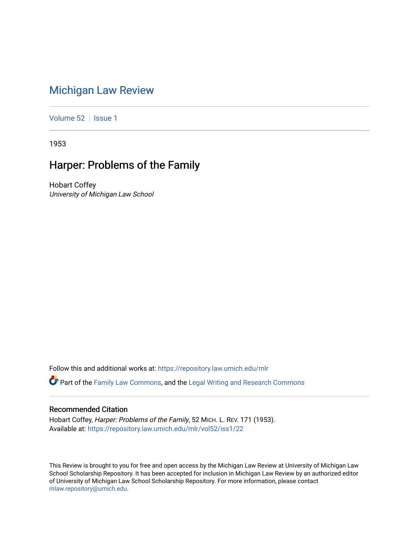# [Michigan Law Review](https://repository.law.umich.edu/mlr)

[Volume 52](https://repository.law.umich.edu/mlr/vol52) | [Issue 1](https://repository.law.umich.edu/mlr/vol52/iss1)

1953

## Harper: Problems of the Family

Hobart Coffey University of Michigan Law School

Follow this and additional works at: [https://repository.law.umich.edu/mlr](https://repository.law.umich.edu/mlr?utm_source=repository.law.umich.edu%2Fmlr%2Fvol52%2Fiss1%2F22&utm_medium=PDF&utm_campaign=PDFCoverPages) 

Part of the [Family Law Commons,](http://network.bepress.com/hgg/discipline/602?utm_source=repository.law.umich.edu%2Fmlr%2Fvol52%2Fiss1%2F22&utm_medium=PDF&utm_campaign=PDFCoverPages) and the [Legal Writing and Research Commons](http://network.bepress.com/hgg/discipline/614?utm_source=repository.law.umich.edu%2Fmlr%2Fvol52%2Fiss1%2F22&utm_medium=PDF&utm_campaign=PDFCoverPages)

### Recommended Citation

Hobart Coffey, Harper: Problems of the Family, 52 MICH. L. REV. 171 (1953). Available at: [https://repository.law.umich.edu/mlr/vol52/iss1/22](https://repository.law.umich.edu/mlr/vol52/iss1/22?utm_source=repository.law.umich.edu%2Fmlr%2Fvol52%2Fiss1%2F22&utm_medium=PDF&utm_campaign=PDFCoverPages) 

This Review is brought to you for free and open access by the Michigan Law Review at University of Michigan Law School Scholarship Repository. It has been accepted for inclusion in Michigan Law Review by an authorized editor of University of Michigan Law School Scholarship Repository. For more information, please contact [mlaw.repository@umich.edu.](mailto:mlaw.repository@umich.edu)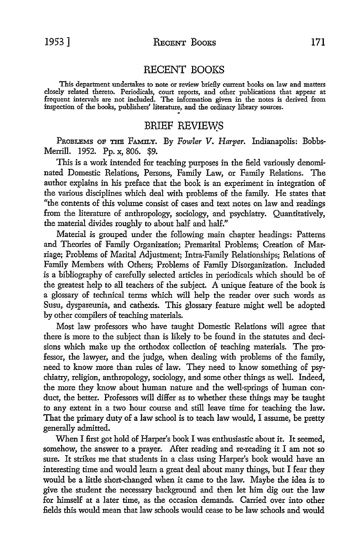#### RECENT BOOKS

This department undertakes to note or review brieHy current books on law and matters closely related thereto. Periodicals, court reports, and other publications that appear at frequent intervals are not included. The information given in the notes is derived from inspection of the books, publishers' literature, and the ordinary library sources.

### BRIEF REVIEWS

PnoBLBMs OP THE FAMILY. By *Fowler V. Harper.* Indianapolis: Bobbs-Merrill. 1952. Pp. x, 806. \$9.

This is a work intended for teaching purposes in the field variously denominated Domestic Relations, Persons, Family Law, or Family Relations. The author explains in his preface that the book is an experiment in integration of the various disciplines which deal with problems of the family. He states that "the contents of this volume consist of cases and text notes on law and readings from the literature of anthropology, sociology, and psychiatry. Quantitatively, the material divides roughly to about half and half."

Material is grouped under the following main chapter headings: Patterns and Theories of Family Organization; Premarital Problems; Creation of Marriage; Problems of Marital Adjustment; Intra-Family Relationships; Relations of Family Members with Others; Problems of Family Disorganization. Included is a bibliography of carefully selected articles in periodicals which should be of the greatest help to all teachers of the subject. A unique feature of the book is a glossary of technical terms which will help the reader over such words as Susu, dyspareunia, and cathexis. This glossary feature might well be adopted by other compilers of teaching materials.

Most law professors who have taught Domestic Relations will agree that there is more *to* the subject than is likely to be found in the statutes and decisions which make up the orthodox collection of teaching materials. The professor, the lawyer, and the judge, when dealing with problems of the family, need to know more than rules of law. They need to know something of psychiatry, religion, anthropology, sociology, and some other things as well. Indeed, the more they know about human nature and the well-springs of human conduct, the better. Professors will differ as to whether these things may be taught to any extent in a two hour course and still leave time for teaching the law. That the primary duty of a law school is *to* teach law would, I assume, be pretty generally admitted.

When I first got hold of Harper's book I was enthusiastic about it. It seemed, somehow, the answer *to* a prayer. After reading and re-reading it I am not so sure. It strikes me that students in a class using Harper's book would have an interesting time and would learn a great deal about many things, but I fear they would be a little short-changed when it came *to* the law. Maybe the idea is *to*  give the student the necessary background and then let him dig out the law for himself at a later time, as the occasion demands. Carried over into other fields this would mean that law schools would cease *to* be law schools and would